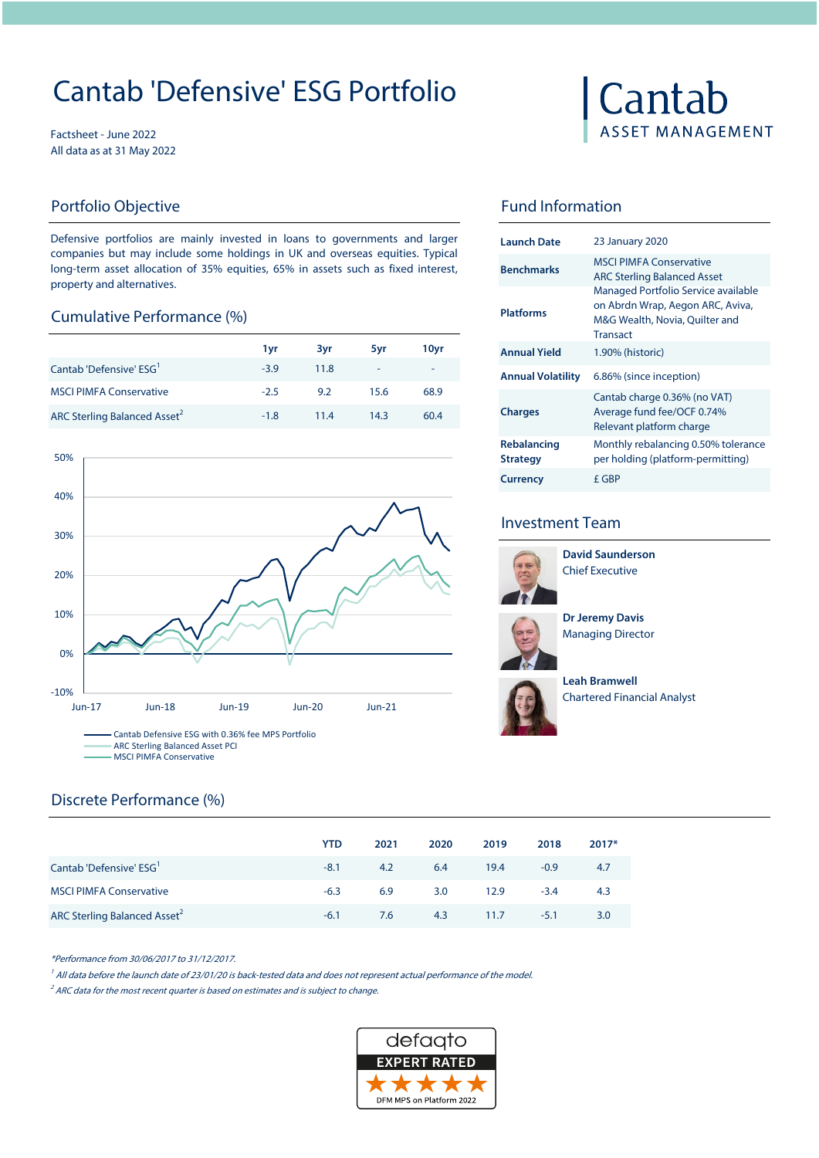# Cantab 'Defensive' ESG Portfolio

Factsheet - June 2022 All data as at 31 May 2022

#### Portfolio Objective

Defensive portfolios are mainly invested in loans to governments and larger companies but may include some holdings in UK and overseas equities. Typical long-term asset allocation of 35% equities, 65% in assets such as fixed interest, property and alternatives.

#### Cumulative Performance (%)

|                                          | 1yr    | 3vr  | 5yr  | 10yr |
|------------------------------------------|--------|------|------|------|
| Cantab 'Defensive' ESG <sup>1</sup>      | $-3.9$ | 11.8 | ٠    | -    |
| <b>MSCI PIMFA Conservative</b>           | $-2.5$ | 9.2  | 15.6 | 68.9 |
| ARC Sterling Balanced Asset <sup>2</sup> | $-1.8$ | 11.4 | 14.3 | 60.4 |



# Discrete Performance (%)

|                                          | <b>YTD</b> | 2021 | 2020 | 2019 | 2018   | $2017*$          |
|------------------------------------------|------------|------|------|------|--------|------------------|
| Cantab 'Defensive' ESG <sup>1</sup>      | $-8.1$     | 4.2  | 6.4  | 19.4 | $-0.9$ | -4.7             |
| <b>MSCI PIMFA Conservative</b>           | $-6.3$     | 6.9  | 3.0  | 12.9 | $-3.4$ | 4.3              |
| ARC Sterling Balanced Asset <sup>2</sup> | $-6.1$     | 7.6  | 4.3  | 11.7 | $-5.1$ | 3.0 <sub>2</sub> |

\*Performance from 30/06/2017 to 31/12/2017.

<sup>1</sup> All data before the launch date of 23/01/20 is back-tested data and does not represent actual performance of the model.

 $2^2$  ARC data for the most recent quarter is based on estimates and is subject to change.



# Cantab **ASSET MANAGEMENT**

## Fund Information

| <b>Launch Date</b>             | <b>23 January 2020</b>                                                                                                       |
|--------------------------------|------------------------------------------------------------------------------------------------------------------------------|
| <b>Benchmarks</b>              | <b>MSCLPIMEA Conservative</b><br><b>ARC Sterling Balanced Asset</b>                                                          |
| <b>Platforms</b>               | Managed Portfolio Service available<br>on Abrdn Wrap, Aegon ARC, Aviva,<br>M&G Wealth, Novia, Quilter and<br><b>Transact</b> |
| <b>Annual Yield</b>            | 1.90% (historic)                                                                                                             |
| <b>Annual Volatility</b>       | 6.86% (since inception)                                                                                                      |
| <b>Charges</b>                 | Cantab charge 0.36% (no VAT)<br>Average fund fee/OCF 0.74%<br>Relevant platform charge                                       |
| Rebalancing<br><b>Strategy</b> | Monthly rebalancing 0.50% tolerance<br>per holding (platform-permitting)                                                     |
| <b>Currency</b>                | f GBP                                                                                                                        |

### Investment Team



Chief Executive **David Saunderson**

Managing Director **Dr Jeremy Davis** 



Chartered Financial Analyst **Leah Bramwell**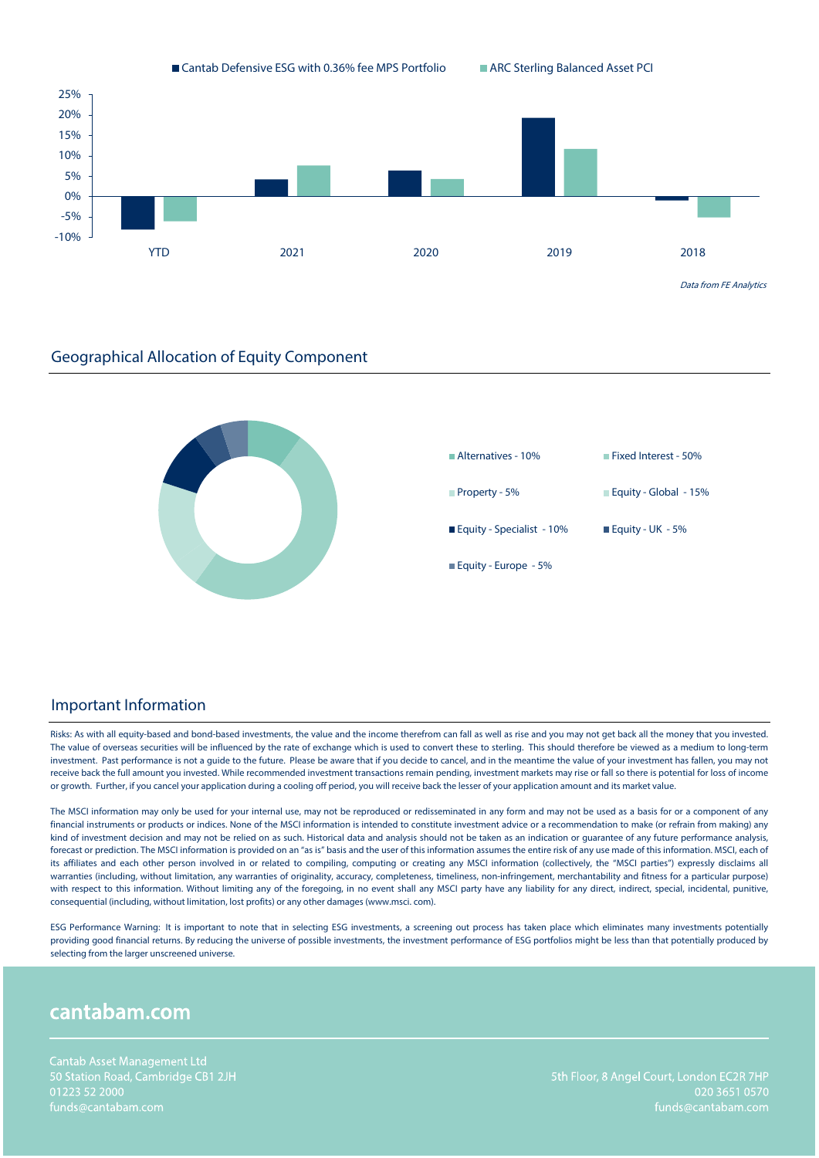



#### Important Information

Risks: As with all equity-based and bond-based investments, the value and the income therefrom can fall as well as rise and you may not get back all the money that you invested. The value of overseas securities will be influenced by the rate of exchange which is used to convert these to sterling. This should therefore be viewed as a medium to long-term investment. Past performance is not a guide to the future. Please be aware that if you decide to cancel, and in the meantime the value of your investment has fallen, you may not receive back the full amount you invested. While recommended investment transactions remain pending, investment markets may rise or fall so there is potential for loss of income or growth. Further, if you cancel your application during a cooling off period, you will receive back the lesser of your application amount and its market value.

The MSCI information may only be used for your internal use, may not be reproduced or redisseminated in any form and may not be used as a basis for or a component of any financial instruments or products or indices. None of the MSCI information is intended to constitute investment advice or a recommendation to make (or refrain from making) any kind of investment decision and may not be relied on as such. Historical data and analysis should not be taken as an indication or quarantee of any future performance analysis, forecast or prediction. The MSCI information is provided on an "as is" basis and the user of this information assumes the entire risk of any use made of this information. MSCI, each of its affiliates and each other person involved in or related to compiling, computing or creating any MSCI information (collectively, the "MSCI parties") expressly disclaims all warranties (including, without limitation, any warranties of originality, accuracy, completeness, timeliness, non-infringement, merchantability and fitness for a particular purpose) with respect to this information. Without limiting any of the foregoing, in no event shall any MSCI party have any liability for any direct, indirect, special, incidental, punitive, consequential (including, without limitation, lost profits) or any other damages (www.msci. com).

ESG Performance Warning: It is important to note that in selecting ESG investments, a screening out process has taken place which eliminates many investments potentially providing good financial returns. By reducing the universe of possible investments, the investment performance of ESG portfolios might be less than that potentially produced by selecting from the larger unscreened universe.

# cantabam.com

020 3651 0570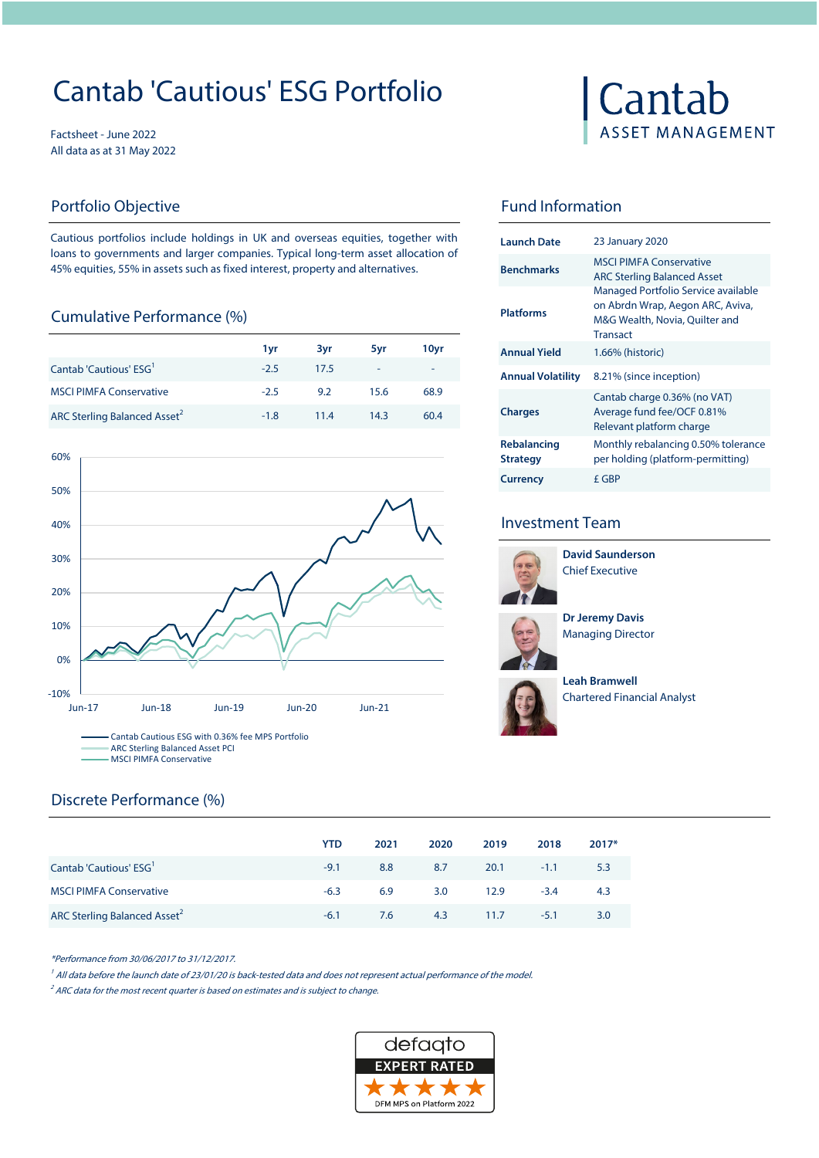# Cantab 'Cautious' ESG Portfolio

Factsheet - June 2022 All data as at 31 May 2022

### Portfolio Objective **Fund Information**

Cautious portfolios include holdings in UK and overseas equities, together with loans to governments and larger companies. Typical long-term asset allocation of 45% equities, 55% in assets such as fixed interest, property and alternatives.

#### Cumulative Performance (%)

|        |      |      |        |                          | Transact                                             |
|--------|------|------|--------|--------------------------|------------------------------------------------------|
| 1 vr   | 3yr  | 5vr  | 10yr   | <b>Annual Yield</b>      | 1.66% (historic)                                     |
| $-2.5$ | 17.5 | ٠    | $\sim$ | <b>Annual Volatility</b> | 8.21% (since inception)                              |
| $-2.5$ | 9.2  | 15.6 | 68.9   |                          | Cantab charge 0.36% (no                              |
| $-1.8$ | 11.4 | 14.3 | 60.4   | <b>Charges</b>           | Average fund fee/OCF 0.8<br>Relevant platform charge |
|        |      |      |        |                          |                                                      |



# Cantab **ASSET MANAGEMENT**

| <b>Launch Date</b>             | <b>23 January 2020</b>                                                                                                       |
|--------------------------------|------------------------------------------------------------------------------------------------------------------------------|
| <b>Benchmarks</b>              | <b>MSCLPIMEA Conservative</b><br><b>ARC Sterling Balanced Asset</b>                                                          |
| <b>Platforms</b>               | Managed Portfolio Service available<br>on Abrdn Wrap, Aegon ARC, Aviva,<br>M&G Wealth, Novia, Quilter and<br><b>Transact</b> |
| <b>Annual Yield</b>            | 1.66% (historic)                                                                                                             |
| <b>Annual Volatility</b>       | 8.21% (since inception)                                                                                                      |
| <b>Charges</b>                 | Cantab charge 0.36% (no VAT)<br>Average fund fee/OCF 0.81%<br>Relevant platform charge                                       |
| Rebalancing<br><b>Strategy</b> | Monthly rebalancing 0.50% tolerance<br>per holding (platform-permitting)                                                     |
| <b>Currency</b>                | f GBP                                                                                                                        |

### Investment Team



Chief Executive **David Saunderson**





**Leah Bramwell**  Chartered Financial Analyst

# Discrete Performance (%)

|                                          | <b>YTD</b> | 2021 | 2020 | 2019          | 2018   | $2017*$ |
|------------------------------------------|------------|------|------|---------------|--------|---------|
| Cantab 'Cautious' ESG <sup>1</sup>       | $-9.1$     | 8.8  | 8.7  | $20.1$ $-1.1$ |        | 5.3     |
| <b>MSCI PIMFA Conservative</b>           | $-6.3$     | 6.9  | 3.0  | 12.9          | $-3.4$ | 4.3     |
| ARC Sterling Balanced Asset <sup>2</sup> | $-6.1$     | 7.6  |      | 4.3 11.7      | $-5.1$ | 3.0     |

\*Performance from 30/06/2017 to 31/12/2017.

<sup>1</sup> All data before the launch date of 23/01/20 is back-tested data and does not represent actual performance of the model.

 $2^2$  ARC data for the most recent quarter is based on estimates and is subject to change.

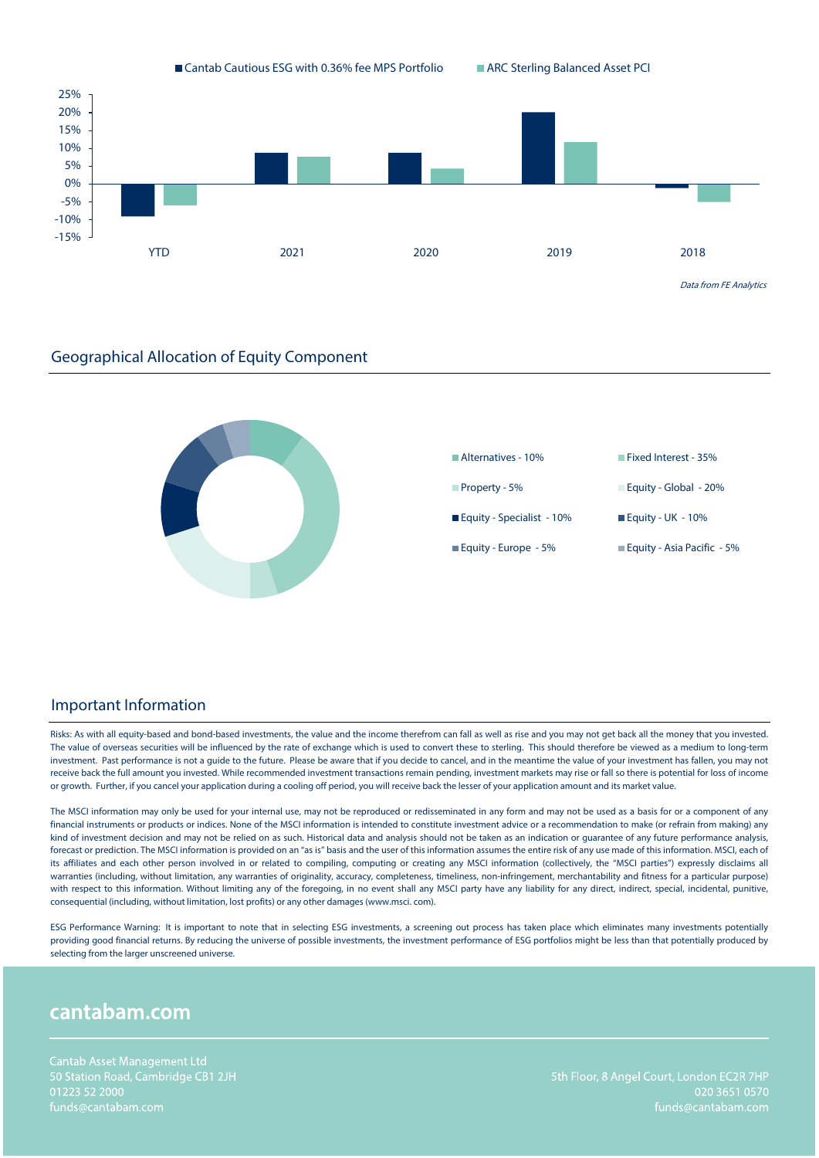



#### Important Information

Risks: As with all equity-based and bond-based investments, the value and the income therefrom can fall as well as rise and you may not get back all the money that you invested. The value of overseas securities will be influenced by the rate of exchange which is used to convert these to sterling. This should therefore be viewed as a medium to long-term investment. Past performance is not a guide to the future. Please be aware that if you decide to cancel, and in the meantime the value of your investment has fallen, you may not receive back the full amount you invested. While recommended investment transactions remain pending, investment markets may rise or fall so there is potential for loss of income or growth. Further, if you cancel your application during a cooling off period, you will receive back the lesser of your application amount and its market value.

The MSCI information may only be used for your internal use, may not be reproduced or redisseminated in any form and may not be used as a basis for or a component of any financial instruments or products or indices. None of the MSCI information is intended to constitute investment advice or a recommendation to make (or refrain from making) any kind of investment decision and may not be relied on as such. Historical data and analysis should not be taken as an indication or quarantee of any future performance analysis, forecast or prediction. The MSCI information is provided on an "as is" basis and the user of this information assumes the entire risk of any use made of this information. MSCI, each of its affiliates and each other person involved in or related to compiling, computing or creating any MSCI information (collectively, the "MSCI parties") expressly disclaims all warranties (including, without limitation, any warranties of originality, accuracy, completeness, timeliness, non-infringement, merchantability and fitness for a particular purpose) with respect to this information. Without limiting any of the foregoing, in no event shall any MSCI party have any liability for any direct, indirect, special, incidental, punitive, consequential (including, without limitation, lost profits) or any other damages (www.msci. com).

ESG Performance Warning: It is important to note that in selecting ESG investments, a screening out process has taken place which eliminates many investments potentially providing good financial returns. By reducing the universe of possible investments, the investment performance of ESG portfolios might be less than that potentially produced by selecting from the larger unscreened universe.

# cantabam.com

020 3651 0570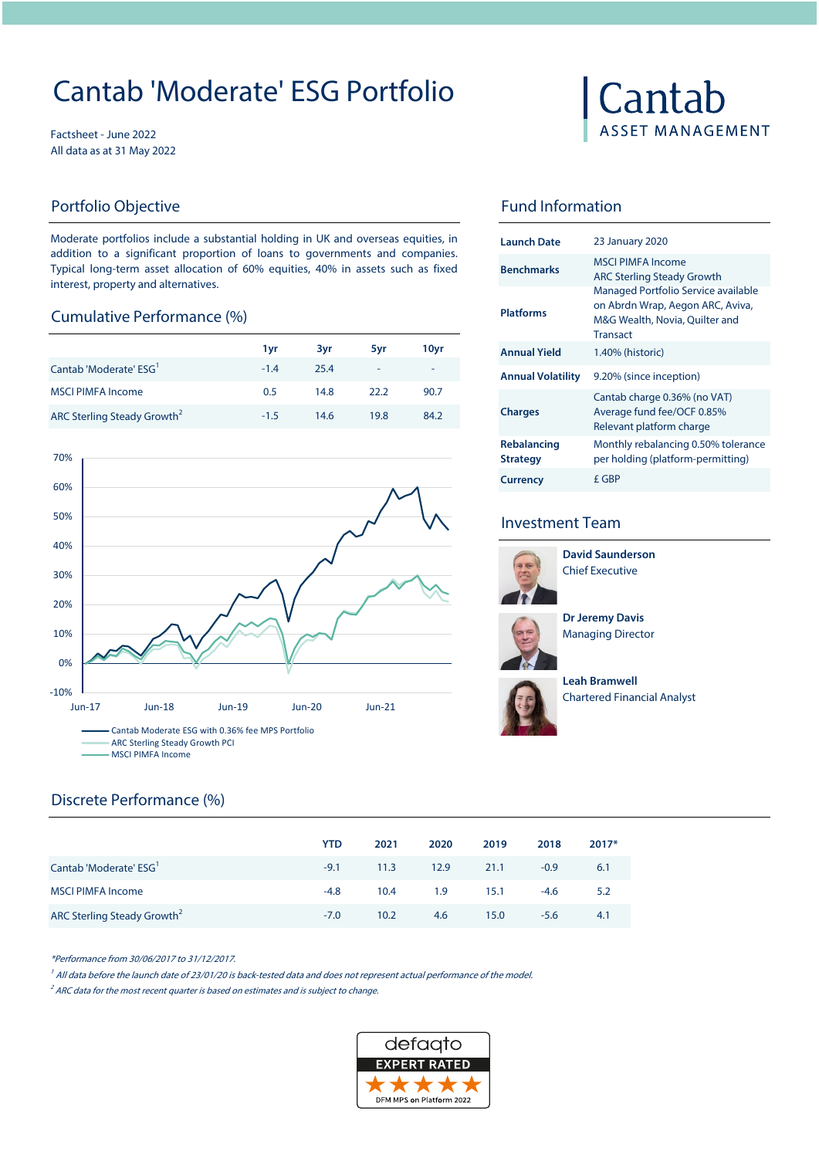# Cantab 'Moderate' ESG Portfolio

Factsheet - June 2022 All data as at 31 May 2022

Moderate portfolios include a substantial holding in UK and overseas equities, in addition to a significant proportion of loans to governments and companies. Typical long-term asset allocation of 60% equities, 40% in assets such as fixed interest, property and alternatives.

#### **Cumulative Performance (%)**

|                                         |        |      |      |                  |                          | Transact             |
|-----------------------------------------|--------|------|------|------------------|--------------------------|----------------------|
|                                         | 1vr    | 3vr  | 5vr  | 10 <sub>vr</sub> | <b>Annual Yield</b>      | 1.40% (historic)     |
| Cantab 'Moderate' ESG <sup>'</sup>      | $-1.4$ | 25.4 |      | $\sim$           | <b>Annual Volatility</b> | 9.20% (since in      |
| <b>MSCI PIMFA Income</b>                | 0.5    | 14.8 | 22.2 | 90.7             |                          | Cantab charge        |
| ARC Sterling Steady Growth <sup>2</sup> | $-1.5$ | 14.6 | 19.8 | 84.2             | <b>Charges</b>           | Average fund fo<br>. |



# Cantab **ASSET MANAGEMENT**

### Portfolio Objective **Fund Information**

| <b>Launch Date</b>             | 23 January 2020                                                                                                              |
|--------------------------------|------------------------------------------------------------------------------------------------------------------------------|
| <b>Benchmarks</b>              | MSCI PIMEA Income<br><b>ARC Sterling Steady Growth</b>                                                                       |
| <b>Platforms</b>               | Managed Portfolio Service available<br>on Abrdn Wrap, Aegon ARC, Aviva,<br>M&G Wealth, Novia, Quilter and<br><b>Transact</b> |
| <b>Annual Yield</b>            | 1.40% (historic)                                                                                                             |
| <b>Annual Volatility</b>       | 9.20% (since inception)                                                                                                      |
| <b>Charges</b>                 | Cantab charge 0.36% (no VAT)<br>Average fund fee/OCF 0.85%<br>Relevant platform charge                                       |
| Rebalancing<br><b>Strategy</b> | Monthly rebalancing 0.50% tolerance<br>per holding (platform-permitting)                                                     |
| <b>Currency</b>                | f GBP                                                                                                                        |

### Investment Team



**David Saunderson** Chief Executive

**Dr Jeremy Davis**  Managing Director



**Leah Bramwell**  Chartered Financial Analyst

## Discrete Performance (%)

|                                         | <b>YTD</b> | 2021 | 2020 | 2019    | 2018   | $2017*$ |
|-----------------------------------------|------------|------|------|---------|--------|---------|
| Cantab 'Moderate' ESG <sup>'</sup>      | $-9.1$     | 11.3 | 12.9 | 21.1    | $-0.9$ | 6.1     |
| <b>MSCI PIMFA Income</b>                | -4.8       | 10.4 | 1.9  | $-15.1$ | $-4.6$ | 5.2     |
| ARC Sterling Steady Growth <sup>2</sup> | $-7.0$     | 10.2 | 4.6  | 15.0    | $-5.6$ | 4.1     |

\*Performance from 30/06/2017 to 31/12/2017.

<sup>1</sup> All data before the launch date of 23/01/20 is back-tested data and does not represent actual performance of the model.

 $2^2$  ARC data for the most recent quarter is based on estimates and is subject to change.

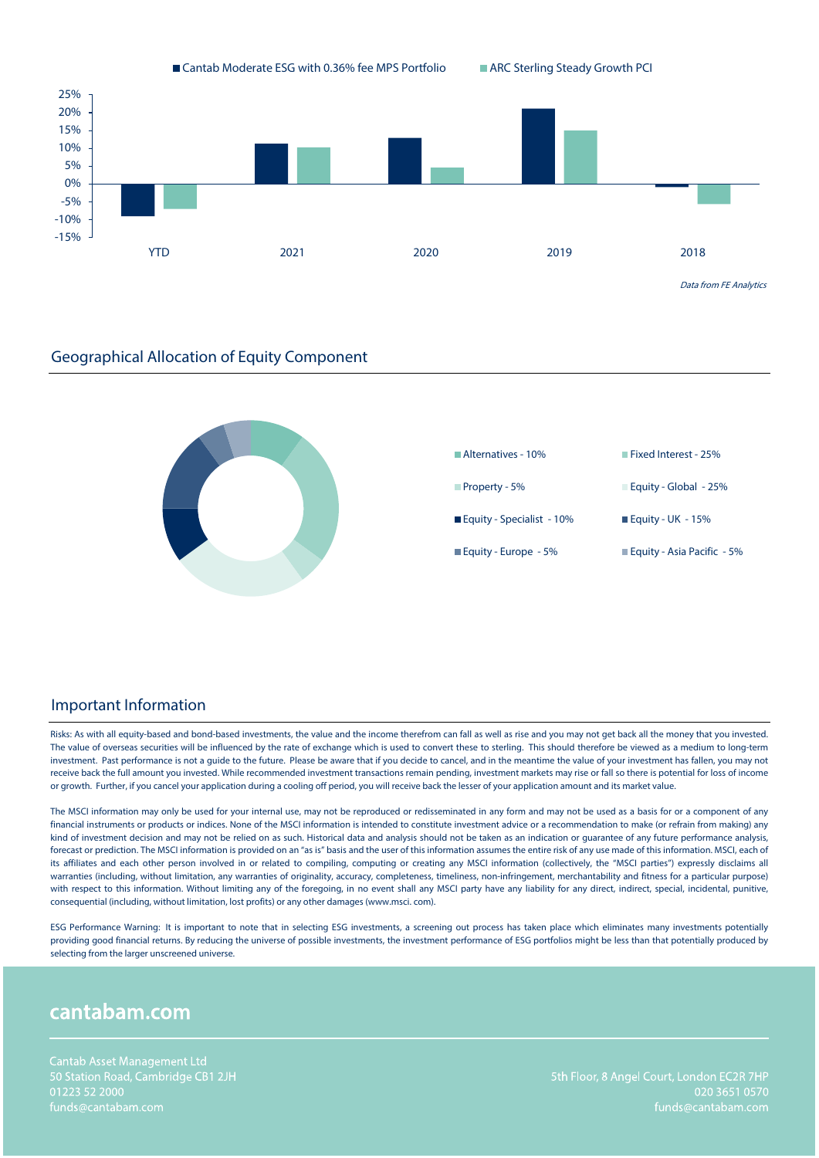



#### Important Information

Risks: As with all equity-based and bond-based investments, the value and the income therefrom can fall as well as rise and you may not get back all the money that you invested. The value of overseas securities will be influenced by the rate of exchange which is used to convert these to sterling. This should therefore be viewed as a medium to long-term investment. Past performance is not a guide to the future. Please be aware that if you decide to cancel, and in the meantime the value of your investment has fallen, you may not receive back the full amount you invested. While recommended investment transactions remain pending, investment markets may rise or fall so there is potential for loss of income or growth. Further, if you cancel your application during a cooling off period, you will receive back the lesser of your application amount and its market value.

The MSCI information may only be used for your internal use, may not be reproduced or redisseminated in any form and may not be used as a basis for or a component of any financial instruments or products or indices. None of the MSCI information is intended to constitute investment advice or a recommendation to make (or refrain from making) any kind of investment decision and may not be relied on as such. Historical data and analysis should not be taken as an indication or quarantee of any future performance analysis, forecast or prediction. The MSCI information is provided on an "as is" basis and the user of this information assumes the entire risk of any use made of this information. MSCI, each of its affiliates and each other person involved in or related to compiling, computing or creating any MSCI information (collectively, the "MSCI parties") expressly disclaims all warranties (including, without limitation, any warranties of originality, accuracy, completeness, timeliness, non-infringement, merchantability and fitness for a particular purpose) with respect to this information. Without limiting any of the foregoing, in no event shall any MSCI party have any liability for any direct, indirect, special, incidental, punitive, consequential (including, without limitation, lost profits) or any other damages (www.msci. com).

ESG Performance Warning: It is important to note that in selecting ESG investments, a screening out process has taken place which eliminates many investments potentially providing good financial returns. By reducing the universe of possible investments, the investment performance of ESG portfolios might be less than that potentially produced by selecting from the larger unscreened universe.

# cantabam.com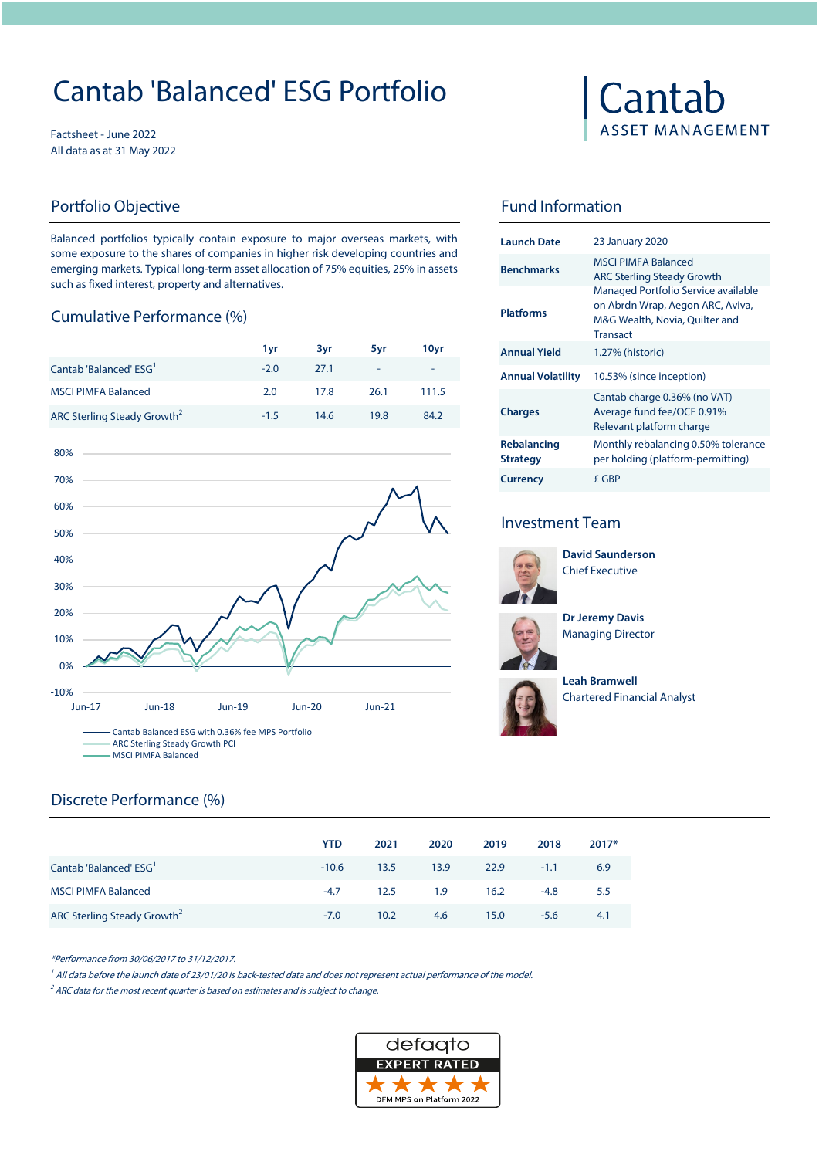# Cantab 'Balanced' ESG Portfolio

Factsheet - June 2022 All data as at 31 May 2022

Balanced portfolios typically contain exposure to major overseas markets, with some exposure to the shares of companies in higher risk developing countries and emerging markets. Typical long-term asset allocation of 75% equities, 25% in assets such as fixed interest, property and alternatives.

#### Cumulative Performance (%)

|                                         |        |      |        |        |                          | Fransact                 |  |
|-----------------------------------------|--------|------|--------|--------|--------------------------|--------------------------|--|
|                                         | 1 vr   | 3vr  | 5vr    | 10vr   | <b>Annual Yield</b>      | 1.27% (historic)         |  |
| Cantab 'Balanced' ESG <sup>'</sup>      | $-2.0$ | 27.1 | $\sim$ | $\sim$ | <b>Annual Volatility</b> | 10.53% (since inception) |  |
| <b>MSCI PIMFA Balanced</b>              | 2.0    | 17.8 | 26.1   | 111.5  |                          | Cantab charge 0.36% (no  |  |
| ARC Sterling Steady Growth <sup>2</sup> | $-1.5$ | 14.6 | 19.8   | 84.2   | <b>Charges</b>           | Average fund fee/OCF 0   |  |



# Cantab **ASSET MANAGEMENT**

### Portfolio Objective **Fund Information**

| Launch Date                    | <b>23 January 2020</b>                                                                                                       |
|--------------------------------|------------------------------------------------------------------------------------------------------------------------------|
| <b>Benchmarks</b>              | <b>MSCLPIMEA Balanced</b><br><b>ARC Sterling Steady Growth</b>                                                               |
| <b>Platforms</b>               | Managed Portfolio Service available<br>on Abrdn Wrap, Aegon ARC, Aviva,<br>M&G Wealth, Novia, Quilter and<br><b>Transact</b> |
| <b>Annual Yield</b>            | 1.27% (historic)                                                                                                             |
| <b>Annual Volatility</b>       | 10.53% (since inception)                                                                                                     |
| <b>Charges</b>                 | Cantab charge 0.36% (no VAT)<br>Average fund fee/OCF 0.91%<br>Relevant platform charge                                       |
| Rebalancing<br><b>Strategy</b> | Monthly rebalancing 0.50% tolerance<br>per holding (platform-permitting)                                                     |
| <b>Currency</b>                | £ GBP                                                                                                                        |

### Investment Team



**David Saunderson** Chief Executive





**Leah Bramwell**  Chartered Financial Analyst

# Discrete Performance (%)

|                                         | <b>YTD</b> | 2021 | 2020     | 2019 | 2018   | $2017*$ |
|-----------------------------------------|------------|------|----------|------|--------|---------|
| Cantab 'Balanced' ESG <sup>'</sup>      | $-10.6$    | 13.5 | 13.9     | 22.9 | $-1.1$ | 6.9     |
| <b>MSCI PIMFA Balanced</b>              | $-4.7$     |      | 12.5 1.9 | 16.2 | $-4.8$ | 5.5     |
| ARC Sterling Steady Growth <sup>2</sup> | $-7.0$     | 10.2 | 4.6      | 15.0 | $-5.6$ | 4.1     |

\*Performance from 30/06/2017 to 31/12/2017.

<sup>1</sup> All data before the launch date of 23/01/20 is back-tested data and does not represent actual performance of the model.

 $2^2$  ARC data for the most recent quarter is based on estimates and is subject to change.

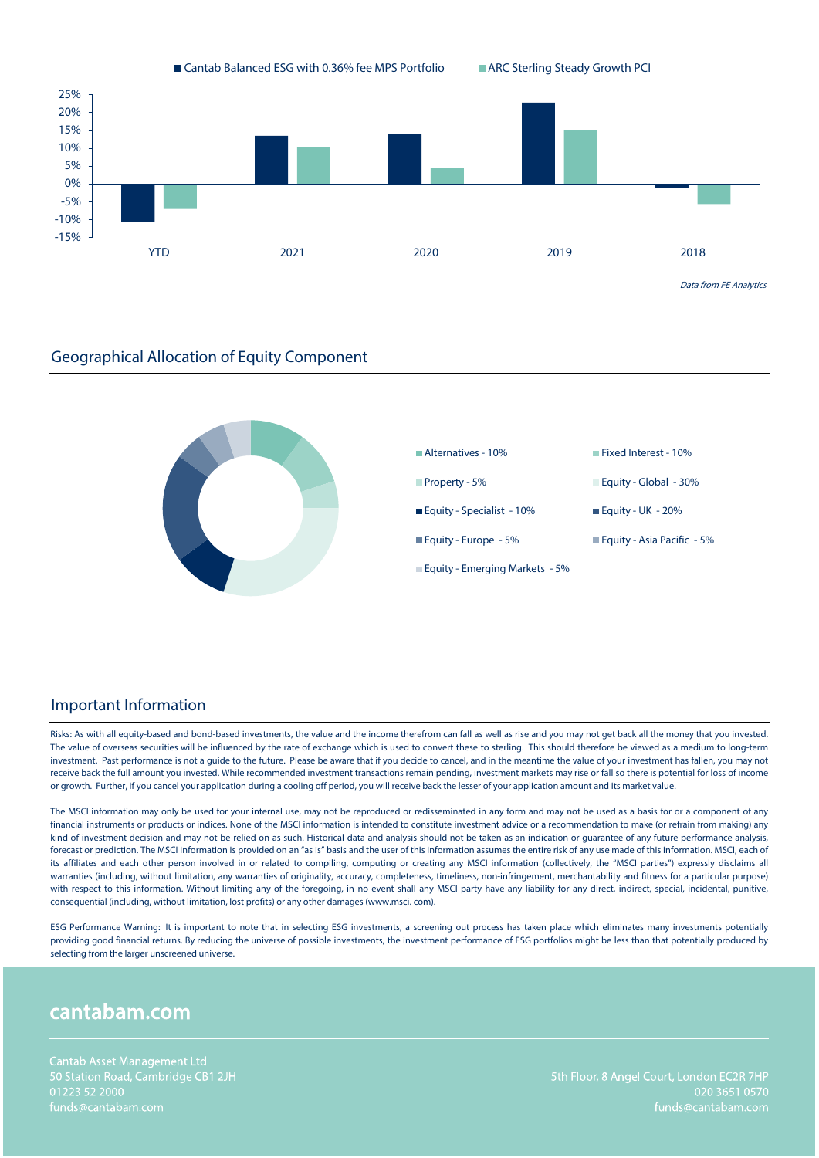



#### Important Information

Risks: As with all equity-based and bond-based investments, the value and the income therefrom can fall as well as rise and you may not get back all the money that you invested. The value of overseas securities will be influenced by the rate of exchange which is used to convert these to sterling. This should therefore be viewed as a medium to long-term investment. Past performance is not a guide to the future. Please be aware that if you decide to cancel, and in the meantime the value of your investment has fallen, you may not receive back the full amount you invested. While recommended investment transactions remain pending, investment markets may rise or fall so there is potential for loss of income or growth. Further, if you cancel your application during a cooling off period, you will receive back the lesser of your application amount and its market value.

The MSCI information may only be used for your internal use, may not be reproduced or redisseminated in any form and may not be used as a basis for or a component of any financial instruments or products or indices. None of the MSCI information is intended to constitute investment advice or a recommendation to make (or refrain from making) any kind of investment decision and may not be relied on as such. Historical data and analysis should not be taken as an indication or quarantee of any future performance analysis, forecast or prediction. The MSCI information is provided on an "as is" basis and the user of this information assumes the entire risk of any use made of this information. MSCI, each of its affiliates and each other person involved in or related to compiling, computing or creating any MSCI information (collectively, the "MSCI parties") expressly disclaims all warranties (including, without limitation, any warranties of originality, accuracy, completeness, timeliness, non-infringement, merchantability and fitness for a particular purpose) with respect to this information. Without limiting any of the foregoing, in no event shall any MSCI party have any liability for any direct, indirect, special, incidental, punitive, consequential (including, without limitation, lost profits) or any other damages (www.msci. com).

ESG Performance Warning: It is important to note that in selecting ESG investments, a screening out process has taken place which eliminates many investments potentially providing good financial returns. By reducing the universe of possible investments, the investment performance of ESG portfolios might be less than that potentially produced by selecting from the larger unscreened universe.

# cantabam.com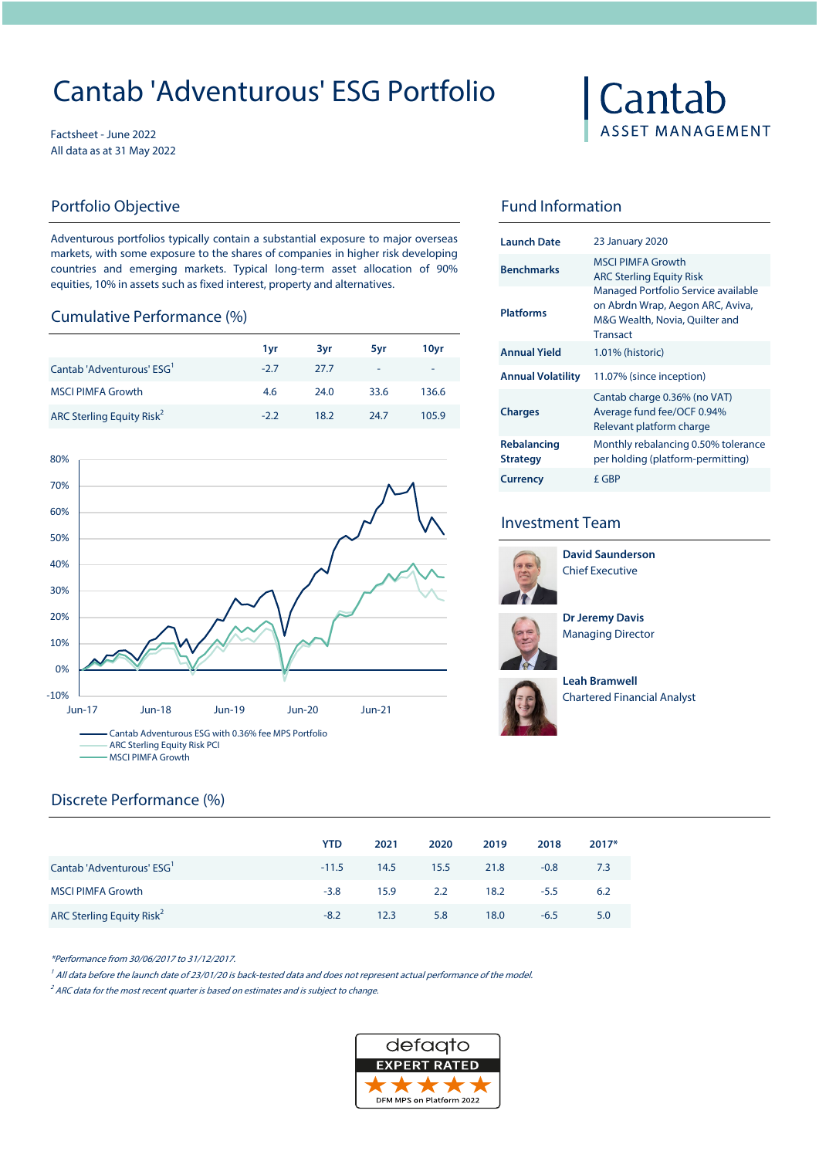# Cantab 'Adventurous' ESG Portfolio

Factsheet - June 2022 All data as at 31 May 2022

Adventurous portfolios typically contain a substantial exposure to major overseas markets, with some exposure to the shares of companies in higher risk developing countries and emerging markets. Typical long-term asset allocation of 90% equities, 10% in assets such as fixed interest, property and alternatives.

#### Cumulative Performance (%)

|                                       |        |      |      |                          |                          | Transact                                             |  |
|---------------------------------------|--------|------|------|--------------------------|--------------------------|------------------------------------------------------|--|
|                                       | 1 vr   | 3vr  | 5vr  | 10yr                     | <b>Annual Yield</b>      | 1.01% (historic)                                     |  |
| Cantab 'Adventurous' ESG'             | $-2.7$ | 27.7 | ÷.   | $\overline{\phantom{0}}$ | <b>Annual Volatility</b> | 11.07% (since inception)                             |  |
| <b>MSCI PIMFA Growth</b>              | 4.6    | 24.0 | 33.6 | 136.6                    |                          | Cantab charge 0.36% (no                              |  |
| ARC Sterling Equity Risk <sup>2</sup> | $-2.2$ | 18.2 | 24.7 | 105.9                    | <b>Charges</b>           | Average fund fee/OCF 0.9<br>Relevant platform charge |  |



## Discrete Performance (%)

|                                       | <b>YTD</b> | 2021 | 2020 | 2019 | 2018   | $2017*$ |
|---------------------------------------|------------|------|------|------|--------|---------|
| Cantab 'Adventurous' ESG <sup>'</sup> | $-11.5$    | 14.5 | 15.5 | 21.8 | $-0.8$ | 7.3     |
| <b>MSCI PIMFA Growth</b>              | $-3.8$     | 15.9 | 2.2  | 18.2 | $-5.5$ | 6.2     |
| ARC Sterling Equity Risk <sup>2</sup> | $-8.2$     | 12.3 | 5.8  | 18.0 | $-6.5$ | 5.0     |

\*Performance from 30/06/2017 to 31/12/2017.

<sup>1</sup> All data before the launch date of 23/01/20 is back-tested data and does not represent actual performance of the model.

 $2^2$  ARC data for the most recent quarter is based on estimates and is subject to change.





### Portfolio Objective **Fund Information**

| Launch Date                    | <b>23 January 2020</b>                                                                                                       |
|--------------------------------|------------------------------------------------------------------------------------------------------------------------------|
| <b>Benchmarks</b>              | MSCI PIMEA Growth<br><b>ARC Sterling Equity Risk</b>                                                                         |
| <b>Platforms</b>               | Managed Portfolio Service available<br>on Abrdn Wrap, Aegon ARC, Aviva,<br>M&G Wealth, Novia, Quilter and<br><b>Transact</b> |
| <b>Annual Yield</b>            | 1.01% (historic)                                                                                                             |
| Annual Volatility              | 11.07% (since inception)                                                                                                     |
| <b>Charges</b>                 | Cantab charge 0.36% (no VAT)<br>Average fund fee/OCF 0.94%<br>Relevant platform charge                                       |
| Rebalancing<br><b>Strategy</b> | Monthly rebalancing 0.50% tolerance<br>per holding (platform-permitting)                                                     |
| <b>Currency</b>                | f GBP                                                                                                                        |

### Investment Team



**David Saunderson** Chief Executive





**Leah Bramwell**  Chartered Financial Analyst